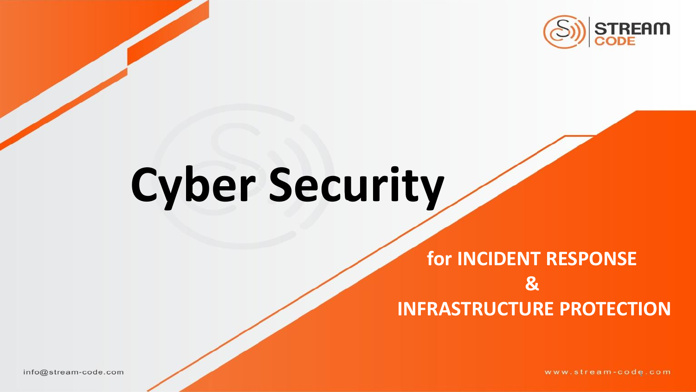

## **Cyber Security**

### **for INCIDENT RESPONSE & INFRASTRUCTURE PROTECTION**

www.stream-code.com

info@stream-code.com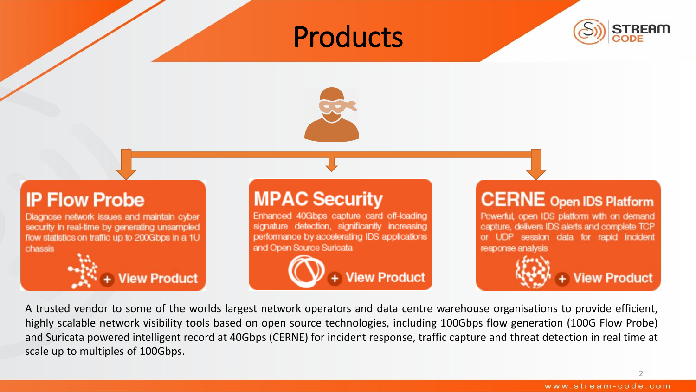### Products





#### **IP Flow Probe**

Diagnose network issues and maintain cyber security in real-time by generating unsampled flow statistics on traffic up to 200Gbps in a 1U chassis



#### **MPAC Security**

Enhanced 40Gbps capture card off-loading signature detection, significantly increasing performance by accelerating IDS applications and Open Source Suricata



#### **CERNE** Open IDS Platform

Powerful, open IDS platform with on demand capture, delivers IDS alerts and complete TCP or UDP session data for rapid incident response analysis



**iew Product** 

A trusted vendor to some of the worlds largest network operators and data centre warehouse organisations to provide efficient, highly scalable network visibility tools based on open source technologies, including 100Gbps flow generation (100G Flow Probe) and Suricata powered intelligent record at 40Gbps (CERNE) for incident response, traffic capture and threat detection in real time at scale up to multiples of 100Gbps.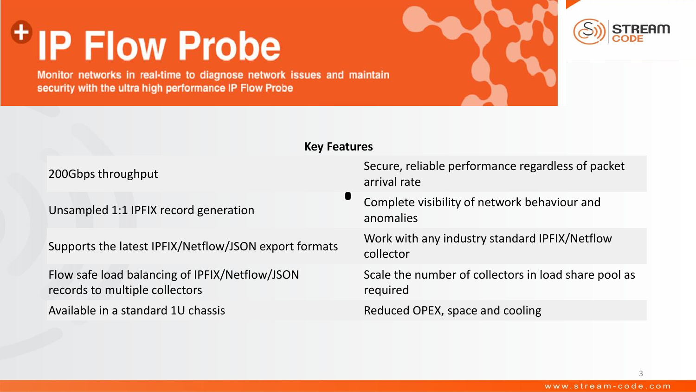### **IP Flow Probe**

Monitor networks in real-time to diagnose network issues and maintain security with the ultra high performance IP Flow Probe



#### **Key Features**

Flow safe load balancing of IPFIX/Netflow/JSON records to multiple collectors

200Gbps throughput and the secure, reliable performance regardless of packet arrival rate

Unsampled 1:1 IPFIX record generation Complete visibility of network behaviour and anomalies

Supports the latest IPFIX/Netflow/JSON export formats Work with any industry standard IPFIX/Netflow collector

> Scale the number of collectors in load share pool as required

Available in a standard 1U chassis **Reduced OPEX**, space and cooling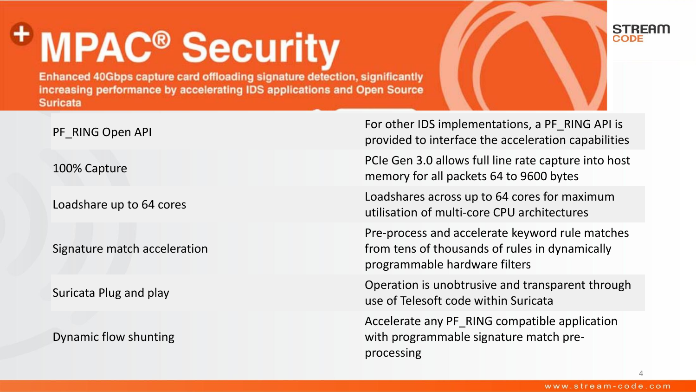### **MPAC<sup>®</sup> Security**

Enhanced 40Gbps capture card offloading signature detection, significantly increasing performance by accelerating IDS applications and Open Source **Suricata Key Features**



Signature match acceleration

Dynamic flow shunting

PF\_RING Open API For other IDS implementations, a PF\_RING API is provided to interface the acceleration capabilities 100% Capture **100% Capture 100% Capture** 100% Capture into host memory for all packets 64 to 9600 bytes Loadshares across up to 64 cores for maximum Loadshares across up to 64 cores for maximum Loadshares across up utilisation of multi-core CPU architectures Pre-process and accelerate keyword rule matches from tens of thousands of rules in dynamically programmable hardware filters Suricata Plug and play Suricata Plug and play Contractor Contractor Contractor Contractor Contractor Contractor Contractor Contractor Contractor Contractor Contractor Contractor Contractor Contractor Contractor Contractor use of Telesoft code within Suricata Accelerate any PF\_RING compatible application with programmable signature match pre-

processing

**STREAM** 

CODE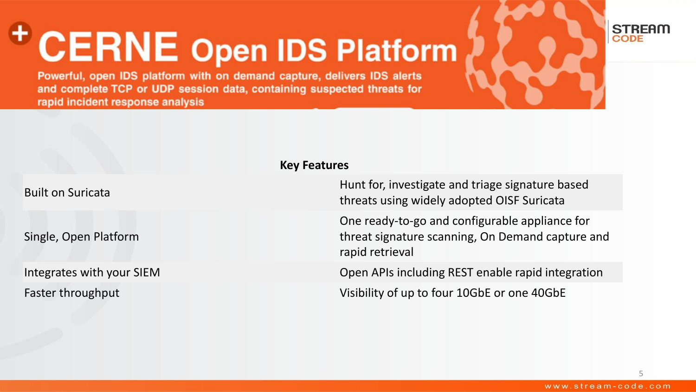### <sup>+</sup> CERNE Open IDS Platform

**STREAM CODE** 

Powerful, open IDS platform with on demand capture, delivers IDS alerts and complete TCP or UDP session data, containing suspected threats for rapid incident response analysis

|                           | <b>Key Features</b>                                                                                                   |
|---------------------------|-----------------------------------------------------------------------------------------------------------------------|
| <b>Built on Suricata</b>  | Hunt for, investigate and triage signature based<br>threats using widely adopted OISF Suricata                        |
| Single, Open Platform     | One ready-to-go and configurable appliance for<br>threat signature scanning, On Demand capture and<br>rapid retrieval |
| Integrates with your SIEM | Open APIs including REST enable rapid integration                                                                     |
| Faster throughput         | Visibility of up to four 10GbE or one 40GbE                                                                           |